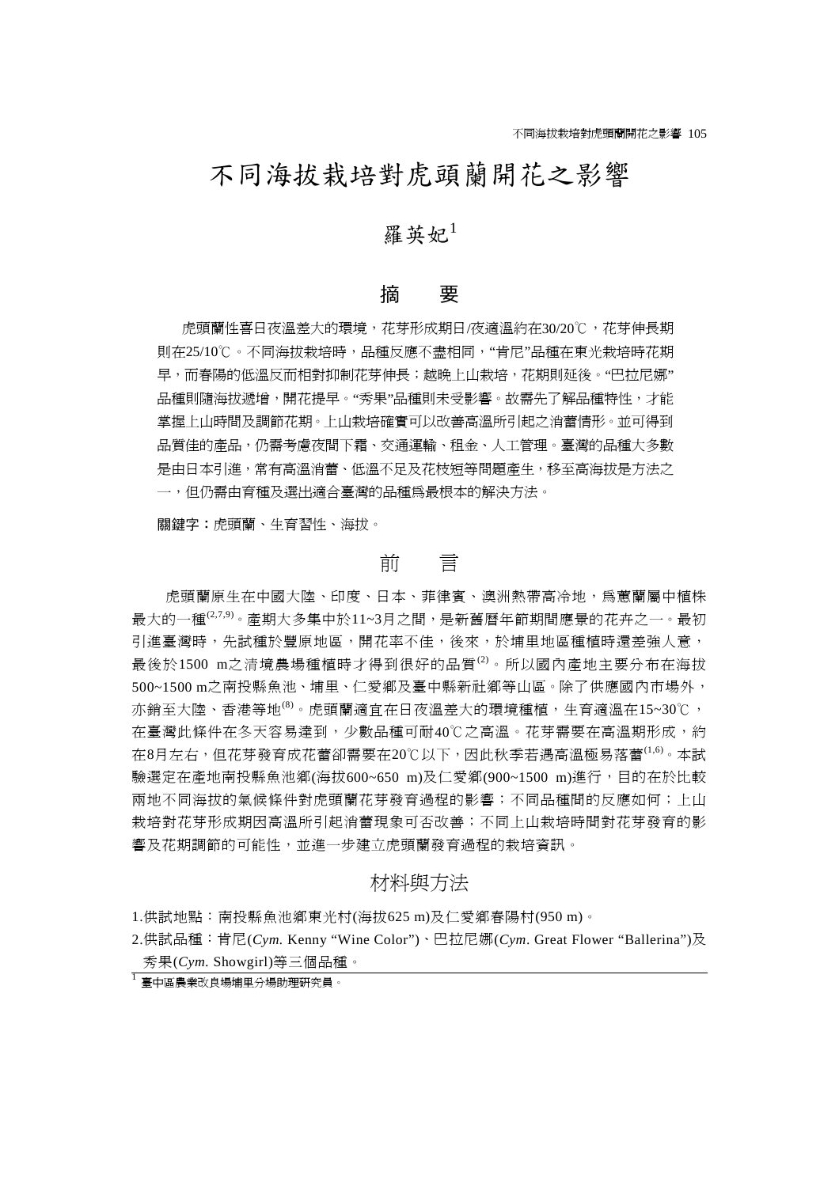# 不同海拔栽培對虎頭蘭開花之影響

# 羅英妃 $1$

## 摘 要

虎頭蘭性喜日夜溫差大的環境,花芽形成期日/夜適溫約在30/20℃,花芽伸長期 則在25/10℃。不同海拔栽培時,品種反應不盡相同,"肯尼"品種在東光栽培時花期 早,而春陽的低溫反而相對抑制花芽伸長;越晚上山栽培,花期則延後。"巴拉尼娜" 品種則隨海拔遞增,開花提早。"秀果"品種則未受影響。故需先了解品種特性,才能 掌握上山時間及調節花期。上山栽培確實可以改善高溫所引起之消蕾情形。並可得到 品質佳的產品,仍需考慮夜間下霜、交通運輸、租金、人工管理。臺灣的品種大多數 是由日本引進,常有高溫消蕾、低溫不足及花枝短等問題產生,移至高海拔是方法之 一,但仍需由育種及選出適合臺灣的品種為最根本的解決方法。

關鍵字:虎頭蘭、生育習性、海拔。

### 前 言

虎頭蘭原生在中國大陸、印度、日本、菲律賓、澳洲熱帶高冷地,為蕙蘭屬中植株 最大的一種(2,7,9)。產期大多集中於11~3月之間,是新舊曆年節期間應景的花卉之一。最初 引進臺灣時,先試種於豐原地區,開花率不佳,後來,於埔里地區種植時還差強人意, 最後於1500 m之清境農場種植時才得到很好的品質<sup>(2)</sup>。所以國內產地主要分布在海拔 500~1500 m之南投縣魚池、埔里、仁愛鄉及臺中縣新社鄉等山區。除了供應國內市場外, 亦銷至大陸、香港等地<sup>(8)</sup>。虎頭蘭適宜在日夜溫差大的環境種植,生育適溫在15~30℃, 在臺灣此條件在冬天容易達到,少數品種可耐40℃之高溫。花芽需要在高溫期形成,約 在8月左右,但花芽發育成花蕾卻需要在20℃以下,因此秋季若遇高溫極易落蕾(1,6)。本試 驗選定在產地南投縣魚池鄉(海拔600~650 m)及仁愛鄉(900~1500 m)進行,目的在於比較 兩地不同海拔的氣候件對虎頭蘭花芽發育過程的影響;不同品種間的反應如何;上山 栽培對花芽形成期因高溫所引起消蕾現象可否改善;不同上山栽培時間對花芽發育的影 響及花期調節的可能性,並進一步建立虎頭蘭發育過程的栽培資訊。

## 材料與方法

1.供試地點:南投縣魚池鄉東光村(海拔625 m)及仁愛鄉春陽村(950 m)。

2.供試品種:肯尼(*Cym.* Kenny "Wine Color")、巴拉尼娜(*Cym*. Great Flower "Ballerina")及 秀果(*Cym.* Showgirl)等三個品種。

<del>」</del><br>1 臺中區農業改良場埔里分場助理研究員。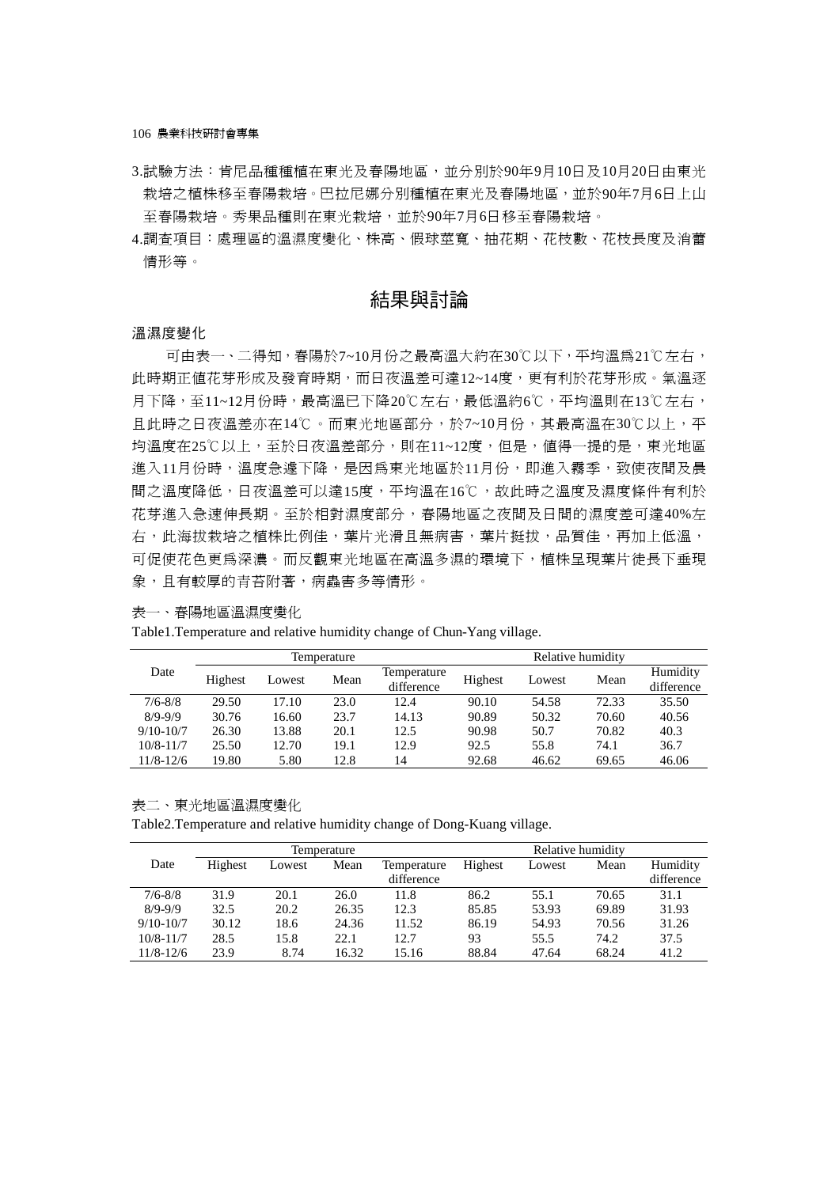106 農業科技研討會專集

- 3.試驗方法:肯尼品種種植在東光及春陽地區,並分別於90年9月10日及10月20日由東光 栽培之植株移至春陽栽培。巴拉尼娜分別種植在東光及春陽地區,並於90年7月6日上山 至春陽栽培。秀果品種則在東光栽培,並於90年7月6日移至春陽栽培。
- 4.調查項目:處理區的溫濕度變化、株高、假球莖寬、抽花期、花枝數、花枝長度及消蕾 情形等。

# 結果與討論

#### 溫濕度變化

可由表一、二得知,春陽於7~10月份之最高溫大約在30℃以下,平均溫爲21℃左右, 此時期正值花芽形成及發育時期,而日夜溫差可達12~14度,更有利於花芽形成。氣溫逐 月下降,至11~12月份時,最高溫已下降20℃左右,最低溫約6℃,平均溫則在13℃左右, 且此時之日夜溫差亦在14℃。而東光地區部分,於7~10月份,其最高溫在30℃以上,平 均溫度在25℃以上,至於日夜溫差部分,則在11~12度,但是,值得一提的是,東光地區 進入11月份時,溫度急遽下降,是因為東光地區於11月份,即進入霧季,致使夜間及晨 間之溫度降低,日夜溫差可以達15度,平均溫在16℃,故此時之溫度及濕度條件有利於 花芽進入急速伸長期。至於相對濕度部分,春陽地區之夜間及日間的濕度差可達40%左 右,此海拔栽培之植株比例佳,葉片光滑且無病害,葉片挺拔,品質佳,再加上低溫, 可促使花色更為深濃。而反觀東光地區在高溫多濕的環境下,植株呈現葉片徒長下垂現 象,且有較厚的青苔附著,病蟲害多等情形。

表一、春陽地區溫濕度變化

| Date          | Temperature |        |      |             | Relative humidity |                   |       |            |
|---------------|-------------|--------|------|-------------|-------------------|-------------------|-------|------------|
|               | Highest     | Lowest | Mean | Temperature |                   | Highest<br>Lowest | Mean  | Humidity   |
|               |             |        |      | difference  |                   |                   |       | difference |
| $7/6 - 8/8$   | 29.50       | 17.10  | 23.0 | 12.4        | 90.10             | 54.58             | 72.33 | 35.50      |
| $8/9 - 9/9$   | 30.76       | 16.60  | 23.7 | 14.13       | 90.89             | 50.32             | 70.60 | 40.56      |
| $9/10 - 10/7$ | 26.30       | 13.88  | 20.1 | 12.5        | 90.98             | 50.7              | 70.82 | 40.3       |
| $10/8 - 11/7$ | 25.50       | 12.70  | 19.1 | 12.9        | 92.5              | 55.8              | 74.1  | 36.7       |
| $11/8 - 12/6$ | 19.80       | 5.80   | 12.8 | 14          | 92.68             | 46.62             | 69.65 | 46.06      |

Table1.Temperature and relative humidity change of Chun-Yang village.

表二、東光地區溫濕度變化

Table2.Temperature and relative humidity change of Dong-Kuang village.

|               |         |        | Temperature |             | Relative humidity |        |       |            |
|---------------|---------|--------|-------------|-------------|-------------------|--------|-------|------------|
| Date          | Highest | Lowest | Mean        | Temperature | Highest           | Lowest | Mean  | Humidity   |
|               |         |        |             | difference  |                   |        |       | difference |
| $7/6 - 8/8$   | 31.9    | 20.1   | 26.0        | 11.8        | 86.2              | 55.1   | 70.65 | 31.1       |
| $8/9 - 9/9$   | 32.5    | 20.2   | 26.35       | 12.3        | 85.85             | 53.93  | 69.89 | 31.93      |
| $9/10 - 10/7$ | 30.12   | 18.6   | 24.36       | 11.52       | 86.19             | 54.93  | 70.56 | 31.26      |
| $10/8 - 11/7$ | 28.5    | 15.8   | 22.1        | 12.7        | 93                | 55.5   | 74.2  | 37.5       |
| $11/8 - 12/6$ | 23.9    | 8.74   | 16.32       | 15.16       | 88.84             | 47.64  | 68.24 | 41.2       |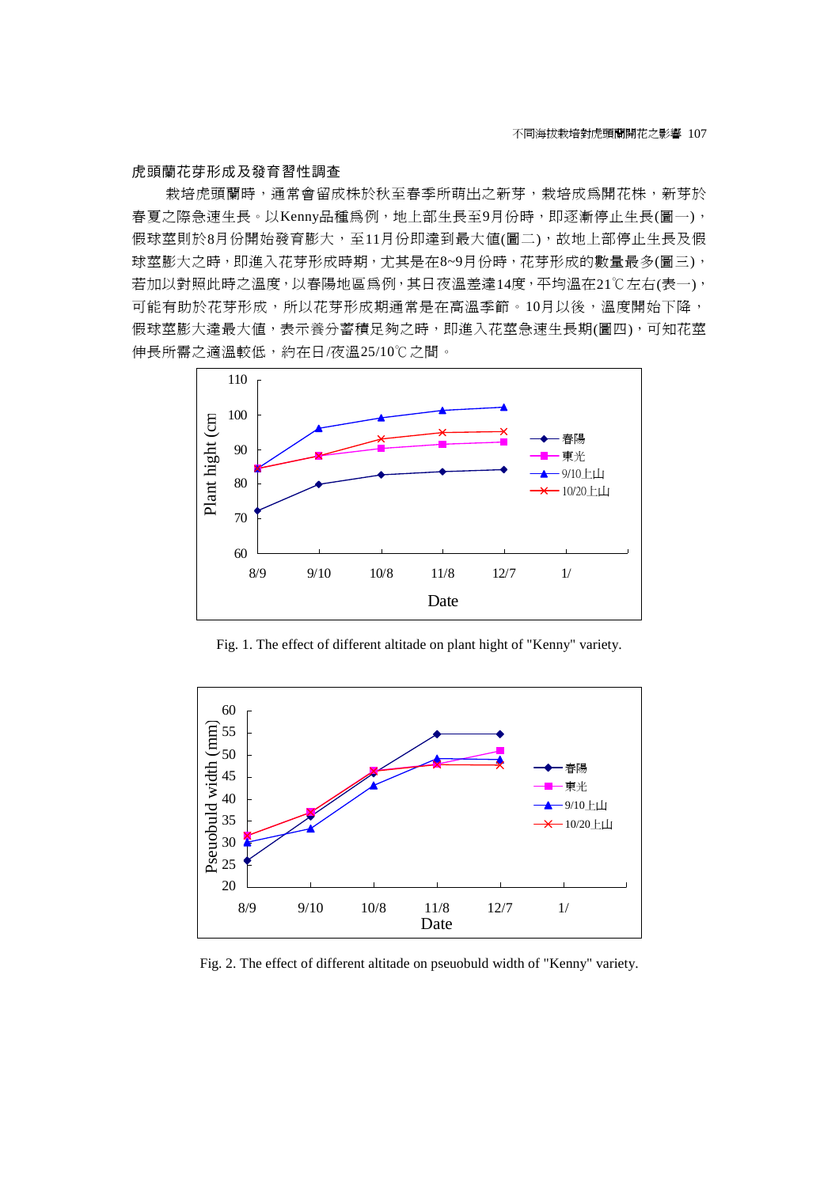#### 虎頭蘭花芽形成及發育習性調查

栽培虎頭蘭時,通常會留成株於秋至春季所萌出之新芽,栽培成為開花株,新芽於 春夏之際急速生長。以Kenny品種為例,地上部生長至9月份時,即逐漸停止生長(圖一), 假球莖則於8月份開始發育膨大,至11月份即達到最大值(圖二),故地上部停止生長及假 球莖膨大之時,即進入花芽形成時期,尤其是在8~9月份時,花芽形成的數量最多(圖三), 若加以對照此時之溫度,以春陽地區爲例,其日夜溫差達14度,平均溫在21℃左右(表一), 可能有助於花芽形成,布形成期通常是在高溫季節。10月以後,溫度開始下降, 假球莖膨大達最大値,表示養分蓄積足夠之時,即進入花莖急速生長期(圖四),可知花莖 伸長所需之適溫較低,約在日/夜溫25/10℃之間。



Fig. 1. The effect of different altitade on plant hight of "Kenny" variety.



Fig. 2. The effect of different altitade on pseuobuld width of "Kenny" variety.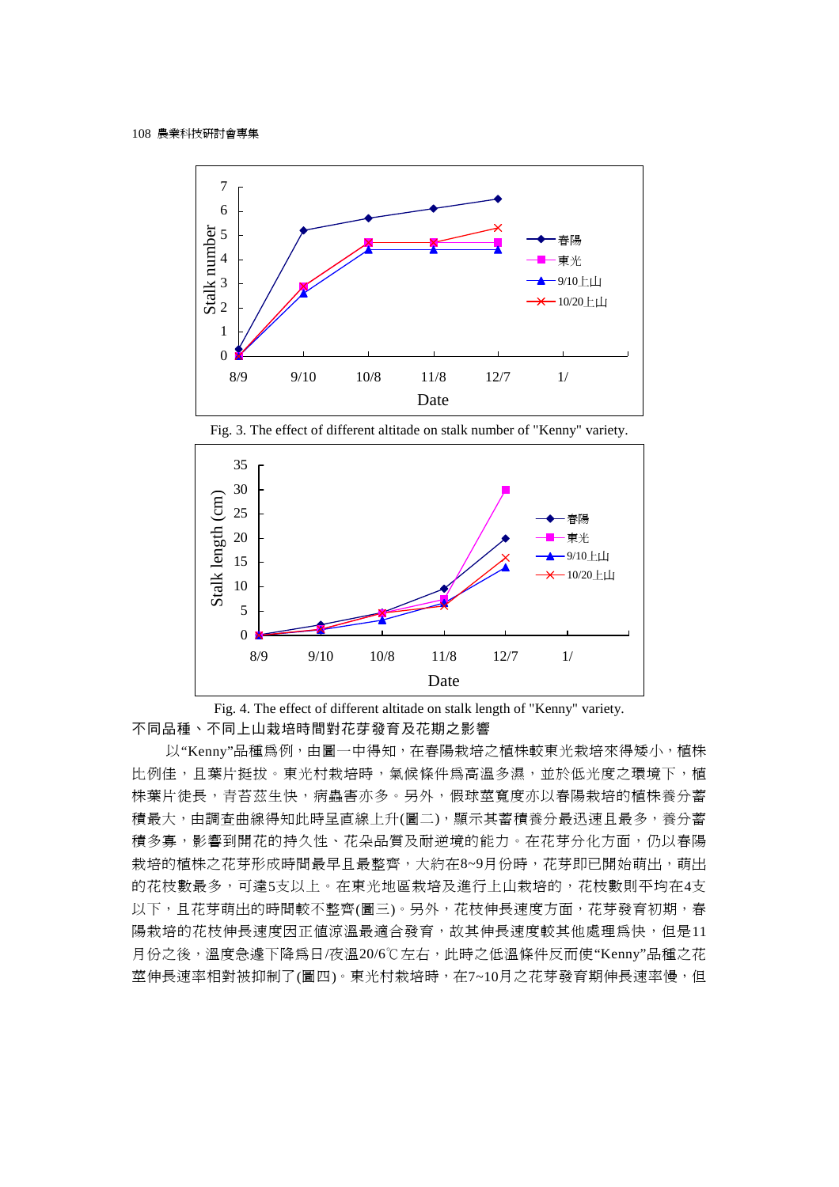



Fig. 3. The effect of different altitade on stalk number of "Kenny" variety.

Fig. 4. The effect of different altitade on stalk length of "Kenny" variety. 不同品種、不同上山栽培時間對花芽發育及花期之影響

以"Kenny"品種為例,由圖一中得知,在春陽栽培之植株較東光栽培來得矮小,植株 比例佳,且葉片挺拔。東光村栽培時,氣候條件為高溫多濕,並於低光度之環境下,植 株葉片徒長,青苔茲生快,病蟲害亦多。另外,假球莖寬度亦以春陽栽培的植株養分蓄 積最大,由調查曲線得知此時呈直線上升(圖二),顯示其蓄積養分最迅速且最多,養分蓄 積多寡,影響到開花的持久性、花朵品質及耐逆境的能力。在花芽分化方面,仍以春陽 栽培的植株之花芽形成時間最早且最整齊,大約在8~9月份時,花芽即已開始萌出,萌出 的花枝數最多,可達5支以上。在東光地區栽培及進行上山栽培的,花枝數則平均在4支 以下,且花芽萌出的時間較不整齊(圖三)。另外,花枝伸長速度方面,花芽發育初期,春 陽栽培的花枝伸長速度因正值涼溫最適合發育,故其伸長速度較其他處理爲快,但是11 月份之後,溫度急遽下降為日/夜溫20/6℃左右,此時之低溫條件反而使"Kenny"品種之花 莖伸長速率相對被抑制了(圖四)。東光村栽培時,在7~10月之花芽發育期伸長速率慢,但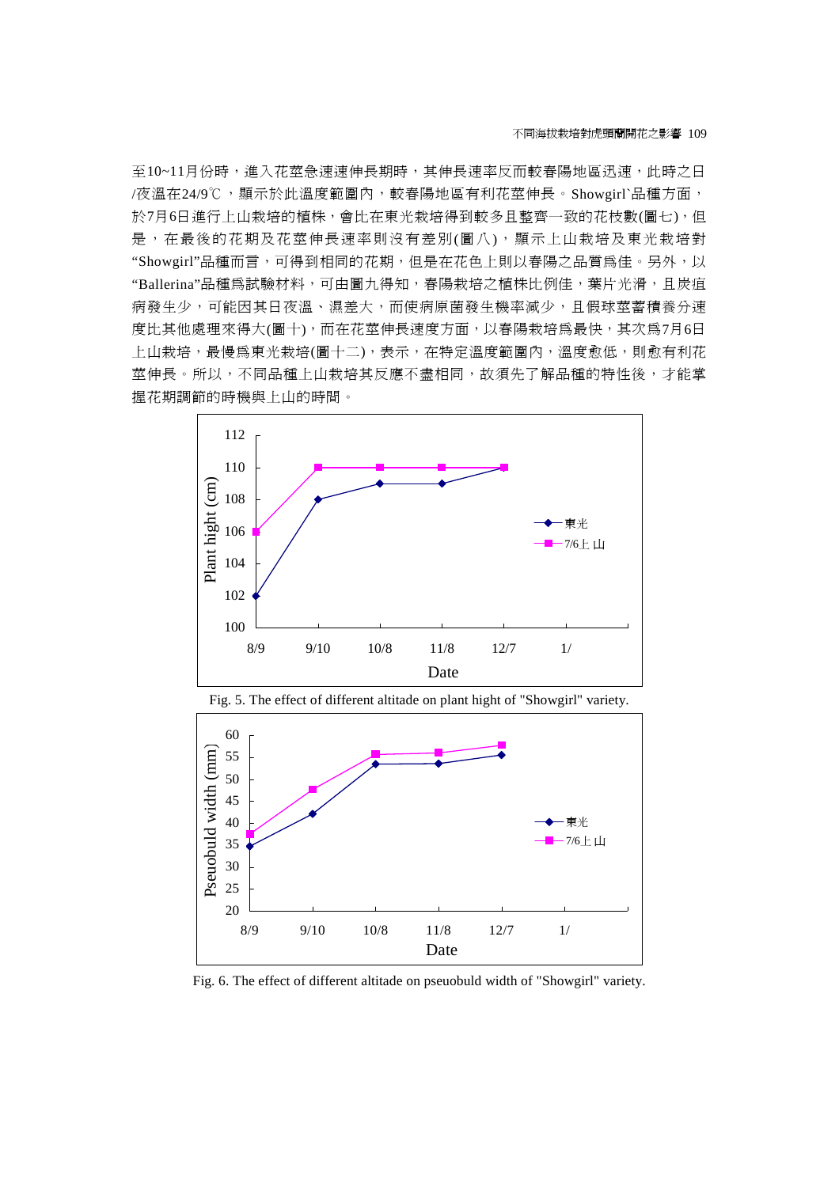至10~11月份時,進入花莖急速速伸長期時,其伸長速率反而較春陽地區迅速,此時之日 /夜溫在24/9℃,顯示於此溫度範圍內,較春陽地區有利花莖伸長。Showgirl`品種方面, 於7月6日進行上山栽培的植株,會比在東光栽培得到較多且整齊一致的花枝數(圖七),但 是,在最後的花期及花莖伸長速率則沒有差別(圖八),顯示上山栽培及東光栽培對 "Showgirl"品種而言,可得到相同的花期,但是在花色上則以春陽之品質爲佳。另外,以 "Ballerina"品種為試驗材料,可由圖九得知,春陽栽培之植株比例佳,葉片光滑,且炭疽 病發生少,可能因其日夜溫、濕差大,而使病原菌發生機率減少,且假球莖蓄積養分速 度比其他處理來得大(圖十),而在花莖伸長速度方面,以春陽栽培爲最快,其次爲7月6日 上山栽培,最慢為東光栽培(圖十二),表示,在特定溫度範圍內,溫度愈低,則愈有利花 莖伸長。所以,不同品種上山栽培其反應不盡相同,故須先了解品種的特性後,才能掌 握花期調節的時機與上山的時間。







Fig. 6. The effect of different altitade on pseuobuld width of "Showgirl" variety.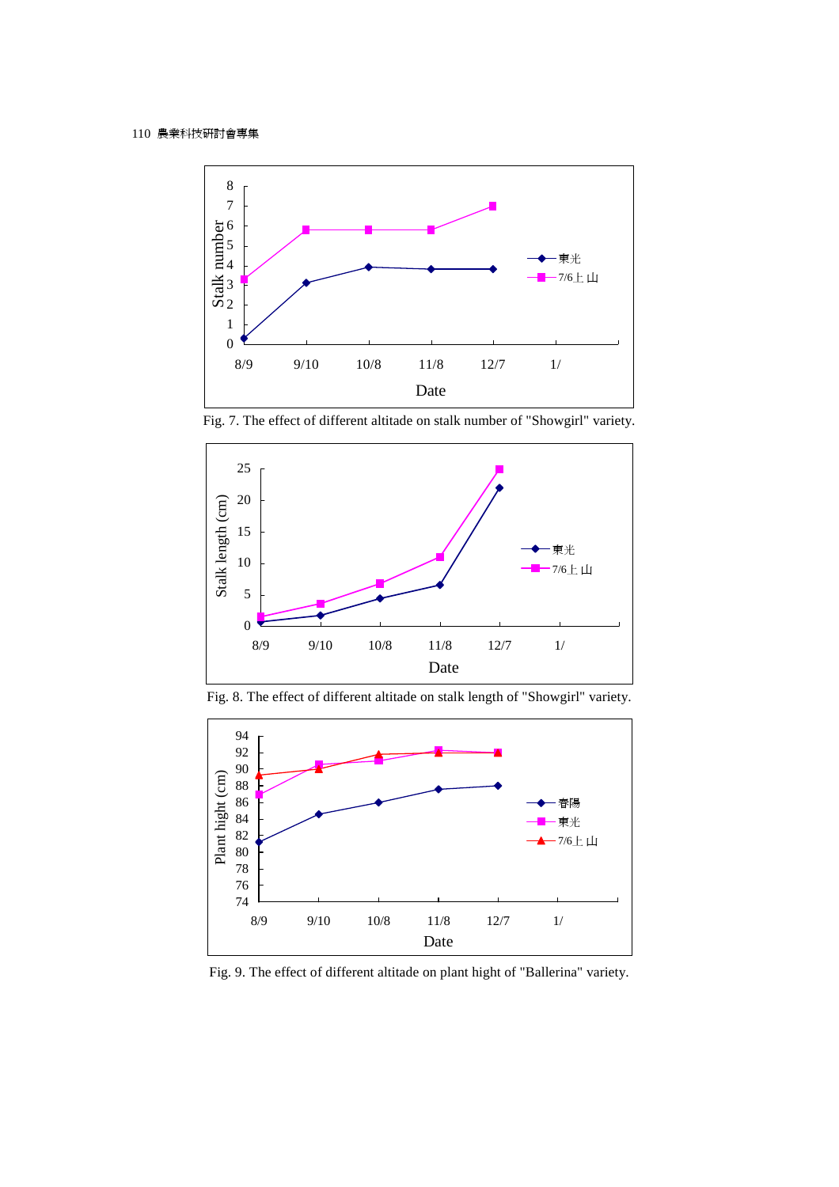

Fig. 7. The effect of different altitade on stalk number of "Showgirl" variety.



Fig. 8. The effect of different altitade on stalk length of "Showgirl" variety.



Fig. 9. The effect of different altitade on plant hight of "Ballerina" variety.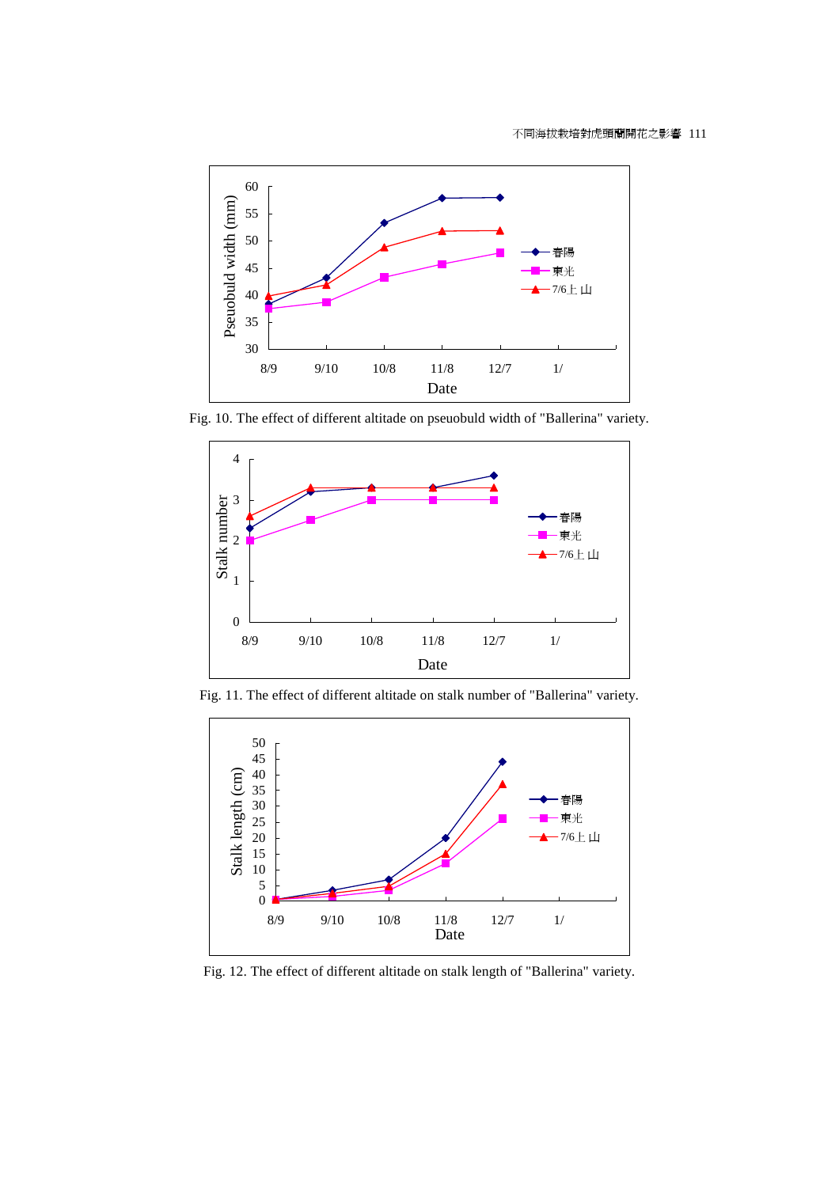

Fig. 10. The effect of different altitade on pseuobuld width of "Ballerina" variety.



Fig. 11. The effect of different altitade on stalk number of "Ballerina" variety.



Fig. 12. The effect of different altitade on stalk length of "Ballerina" variety.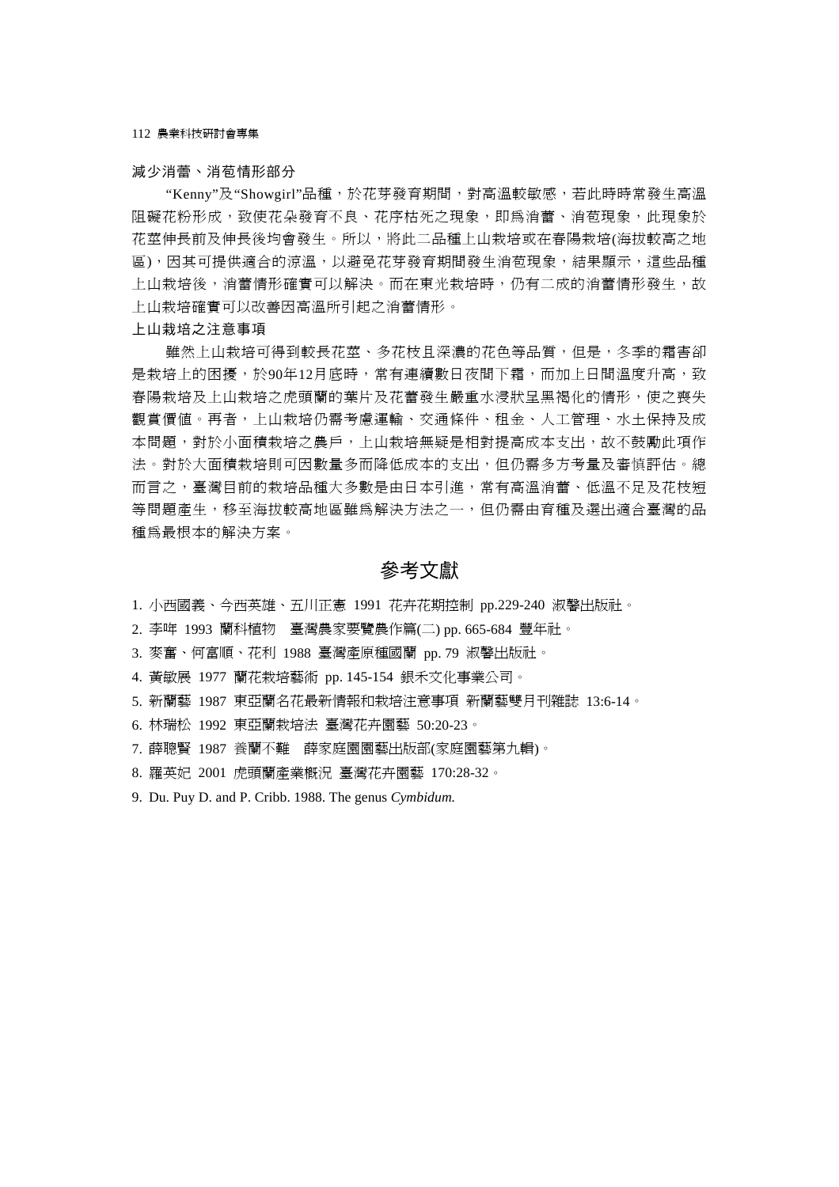112 農業科技研討會專集

#### 減少消蕾、消苞情形部分

"Kenny"及"Showgirl"品種,於花芽發育期間,對高溫較敏感,若此時時常發生高溫 阻礙花粉形成,致使花朵發育不良、花序枯死之現象,即為消蕾、消苞現象,此現象於 花莖伸長前及伸長後均會發生。所以,將此二品種上山栽培或在春陽栽培(海拔較高之地 區),因其可提供適合的涼溫,以避免花芽發育期間發生消苞現象,結果顯示,這些品種 上山栽培後,消蕾情形確實可以解決。而在東光栽培時,仍有二成的消蕾情形發生,故 上山栽培確實可以改善因高溫所引起之消蕾情形。

#### 上山栽培之注意事項

雖然上山栽培可得到較長花莖、多花枝且深濃的花色等品質,但是,冬季的霜害卻 是栽培上的困擾,於90年12月底時,常有連續數日夜間下霜,而加上日間溫度升高,致 春陽栽培及上山栽培之虎頭蘭的葉片及花蕾發生嚴重水浸狀呈黑褐化的情形,使之喪失 觀賞價値。再者,上山栽培仍需考慮運輸、交通條件、租金、人工管理、水土保持及成 本問題,對於小面積栽培之農戶,上山栽培無疑是相對提高成本支出,故不鼓勵此項作 法。對於大面積栽培則可因數量多而降低成本的支出,但仍需多方考量及審慎評估。總 而言之,臺灣目前的栽培品種大多數是由日本引進,常有高溫消蕾、低溫不足及花枝短 等問題產生,移至海拔較高地區雖為解決方法之一,但仍需由育種及選出適合臺灣的品 種為最根本的解決方案。

### 參考文獻

- 1. 小西國義、今西英雄、五川正憲 1991 花卉花期控制 pp.229-240 淑馨出版社。
- 2. 李哖 1993 蘭科植物 臺灣農家要覽農作篇(二) pp. 665-684 豐年社。
- 3. 麥奮、何富順、花利 1988 臺灣產原種國蘭 pp. 79 淑馨出版社。
- 4. 黃敏展 1977 蘭花栽培藝術 pp. 145-154 銀禾文化事業公司。
- 5. 新蘭藝 1987 東亞蘭名花最新情報和栽培注意事項 新蘭藝雙月刊雜誌 13:6-14。
- 6. 林瑞松 1992 東亞蘭栽培法 臺灣花卉園藝 50:20-23。
- 7. 薛聰賢 1987 養蘭不難 薛家庭園園藝出版部(家庭園藝第九輯)。
- 8. 羅英妃 2001 虎頭蘭產業概況 臺灣花卉園藝 170:28-32。
- 9. Du. Puy D. and P. Cribb. 1988. The genus *Cymbidum.*